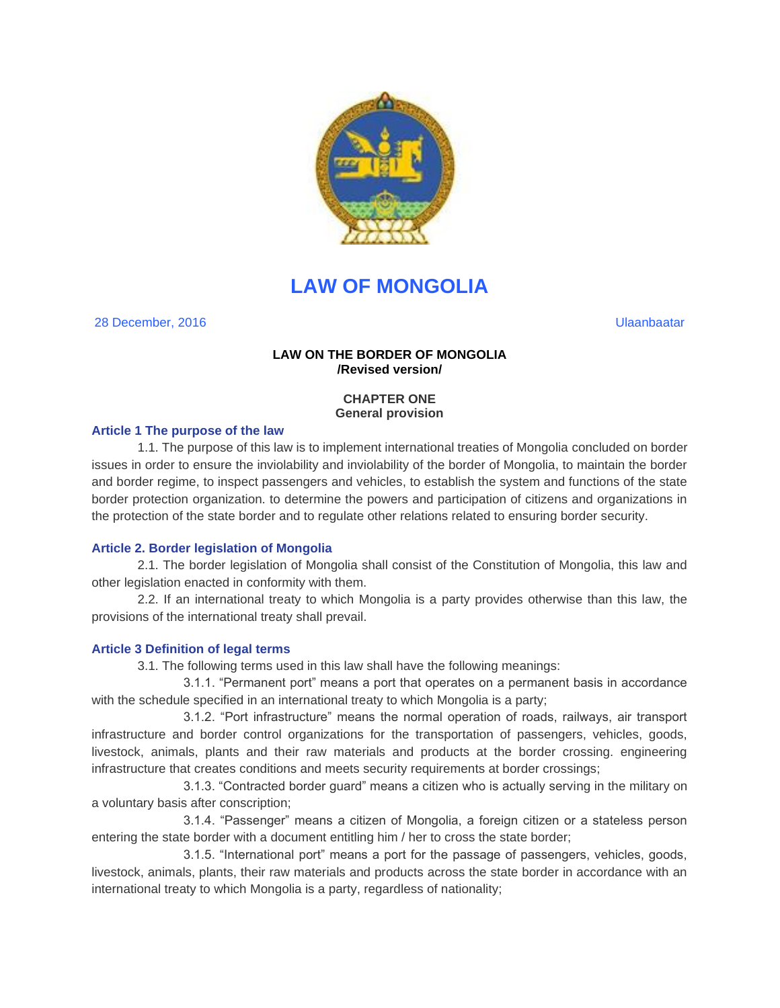

# **LAW OF MONGOLIA**

28 December, 2016 Ulaanbaatar

# **LAW ON THE BORDER OF MONGOLIA /Revised version/**

# **CHAPTER ONE General provision**

# **Article 1 The purpose of the law**

1.1. The purpose of this law is to implement international treaties of Mongolia concluded on border issues in order to ensure the inviolability and inviolability of the border of Mongolia, to maintain the border and border regime, to inspect passengers and vehicles, to establish the system and functions of the state border protection organization. to determine the powers and participation of citizens and organizations in the protection of the state border and to regulate other relations related to ensuring border security.

# **Article 2. Border legislation of Mongolia**

2.1. The border legislation of Mongolia shall consist of the Constitution of Mongolia, this law and other legislation enacted in conformity with them.

2.2. If an international treaty to which Mongolia is a party provides otherwise than this law, the provisions of the international treaty shall prevail.

# **Article 3 Definition of legal terms**

3.1. The following terms used in this law shall have the following meanings:

3.1.1. "Permanent port" means a port that operates on a permanent basis in accordance with the schedule specified in an international treaty to which Mongolia is a party;

3.1.2. "Port infrastructure" means the normal operation of roads, railways, air transport infrastructure and border control organizations for the transportation of passengers, vehicles, goods, livestock, animals, plants and their raw materials and products at the border crossing. engineering infrastructure that creates conditions and meets security requirements at border crossings;

3.1.3. "Contracted border guard" means a citizen who is actually serving in the military on a voluntary basis after conscription;

3.1.4. "Passenger" means a citizen of Mongolia, a foreign citizen or a stateless person entering the state border with a document entitling him / her to cross the state border;

3.1.5. "International port" means a port for the passage of passengers, vehicles, goods, livestock, animals, plants, their raw materials and products across the state border in accordance with an international treaty to which Mongolia is a party, regardless of nationality;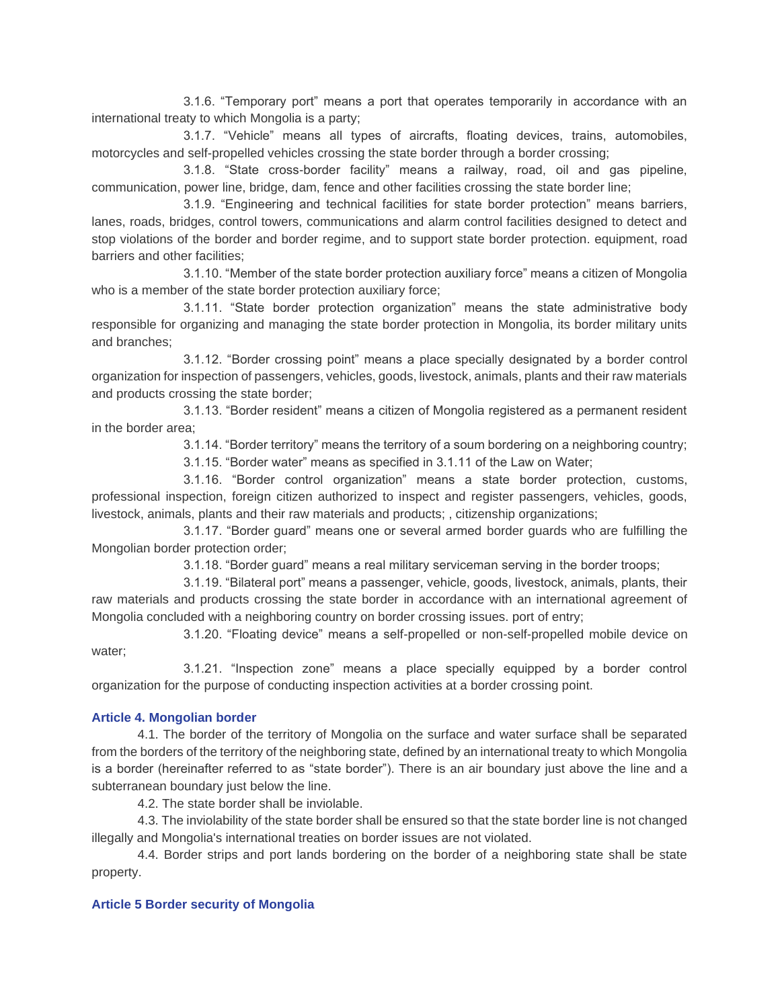3.1.6. "Temporary port" means a port that operates temporarily in accordance with an international treaty to which Mongolia is a party;

3.1.7. "Vehicle" means all types of aircrafts, floating devices, trains, automobiles, motorcycles and self-propelled vehicles crossing the state border through a border crossing;

3.1.8. "State cross-border facility" means a railway, road, oil and gas pipeline, communication, power line, bridge, dam, fence and other facilities crossing the state border line;

3.1.9. "Engineering and technical facilities for state border protection" means barriers, lanes, roads, bridges, control towers, communications and alarm control facilities designed to detect and stop violations of the border and border regime, and to support state border protection. equipment, road barriers and other facilities;

3.1.10. "Member of the state border protection auxiliary force" means a citizen of Mongolia who is a member of the state border protection auxiliary force;

3.1.11. "State border protection organization" means the state administrative body responsible for organizing and managing the state border protection in Mongolia, its border military units and branches;

3.1.12. "Border crossing point" means a place specially designated by a border control organization for inspection of passengers, vehicles, goods, livestock, animals, plants and their raw materials and products crossing the state border;

3.1.13. "Border resident" means a citizen of Mongolia registered as a permanent resident in the border area;

3.1.14. "Border territory" means the territory of a soum bordering on a neighboring country;

3.1.15. "Border water" means as specified in 3.1.11 of the Law on Water;

3.1.16. "Border control organization" means a state border protection, customs, professional inspection, foreign citizen authorized to inspect and register passengers, vehicles, goods, livestock, animals, plants and their raw materials and products; , citizenship organizations;

3.1.17. "Border guard" means one or several armed border guards who are fulfilling the Mongolian border protection order;

3.1.18. "Border guard" means a real military serviceman serving in the border troops;

3.1.19. "Bilateral port" means a passenger, vehicle, goods, livestock, animals, plants, their raw materials and products crossing the state border in accordance with an international agreement of Mongolia concluded with a neighboring country on border crossing issues. port of entry;

3.1.20. "Floating device" means a self-propelled or non-self-propelled mobile device on water;

3.1.21. "Inspection zone" means a place specially equipped by a border control organization for the purpose of conducting inspection activities at a border crossing point.

## **Article 4. Mongolian border**

4.1. The border of the territory of Mongolia on the surface and water surface shall be separated from the borders of the territory of the neighboring state, defined by an international treaty to which Mongolia is a border (hereinafter referred to as "state border"). There is an air boundary just above the line and a subterranean boundary just below the line.

4.2. The state border shall be inviolable.

4.3. The inviolability of the state border shall be ensured so that the state border line is not changed illegally and Mongolia's international treaties on border issues are not violated.

4.4. Border strips and port lands bordering on the border of a neighboring state shall be state property.

## **Article 5 Border security of Mongolia**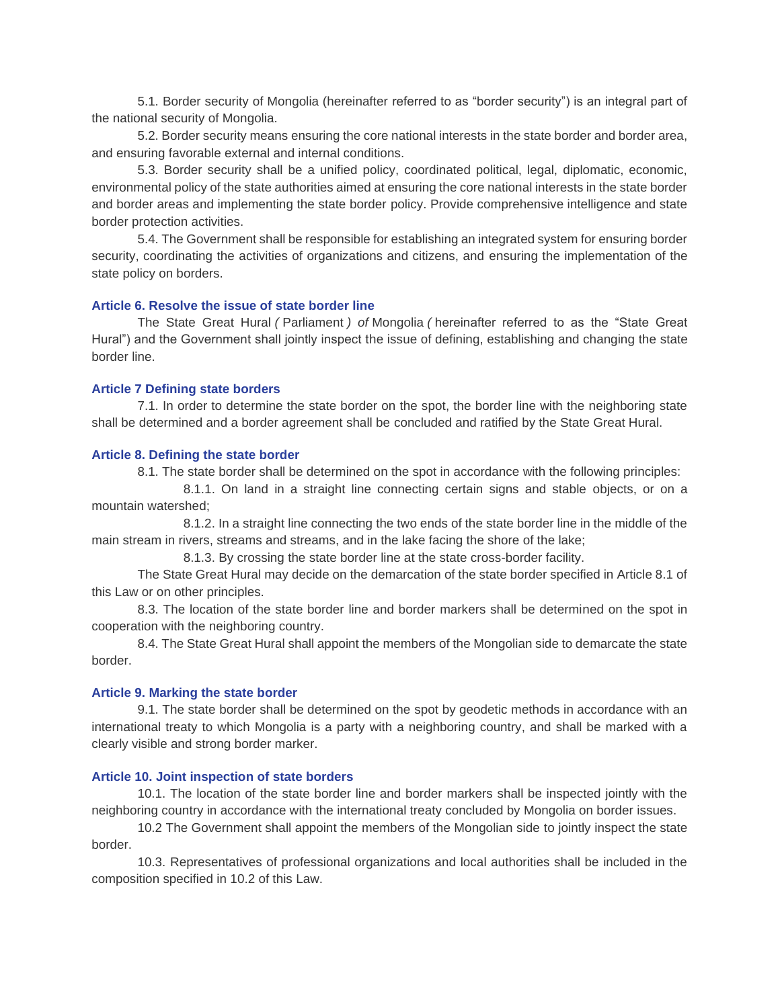5.1. Border security of Mongolia (hereinafter referred to as "border security") is an integral part of the national security of Mongolia.

5.2. Border security means ensuring the core national interests in the state border and border area, and ensuring favorable external and internal conditions.

5.3. Border security shall be a unified policy, coordinated political, legal, diplomatic, economic, environmental policy of the state authorities aimed at ensuring the core national interests in the state border and border areas and implementing the state border policy. Provide comprehensive intelligence and state border protection activities.

5.4. The Government shall be responsible for establishing an integrated system for ensuring border security, coordinating the activities of organizations and citizens, and ensuring the implementation of the state policy on borders.

#### **Article 6. Resolve the issue of state border line**

The State Great Hural *(* Parliament *) of* Mongolia *(* hereinafter referred to as the "State Great Hural") and the Government shall jointly inspect the issue of defining, establishing and changing the state border line.

#### **Article 7 Defining state borders**

7.1. In order to determine the state border on the spot, the border line with the neighboring state shall be determined and a border agreement shall be concluded and ratified by the State Great Hural.

#### **Article 8. Defining the state border**

8.1. The state border shall be determined on the spot in accordance with the following principles:

8.1.1. On land in a straight line connecting certain signs and stable objects, or on a mountain watershed;

8.1.2. In a straight line connecting the two ends of the state border line in the middle of the main stream in rivers, streams and streams, and in the lake facing the shore of the lake;

8.1.3. By crossing the state border line at the state cross-border facility.

The State Great Hural may decide on the demarcation of the state border specified in Article 8.1 of this Law or on other principles.

8.3. The location of the state border line and border markers shall be determined on the spot in cooperation with the neighboring country.

8.4. The State Great Hural shall appoint the members of the Mongolian side to demarcate the state border.

#### **Article 9. Marking the state border**

9.1. The state border shall be determined on the spot by geodetic methods in accordance with an international treaty to which Mongolia is a party with a neighboring country, and shall be marked with a clearly visible and strong border marker.

### **Article 10. Joint inspection of state borders**

10.1. The location of the state border line and border markers shall be inspected jointly with the neighboring country in accordance with the international treaty concluded by Mongolia on border issues.

10.2 The Government shall appoint the members of the Mongolian side to jointly inspect the state border.

10.3. Representatives of professional organizations and local authorities shall be included in the composition specified in 10.2 of this Law.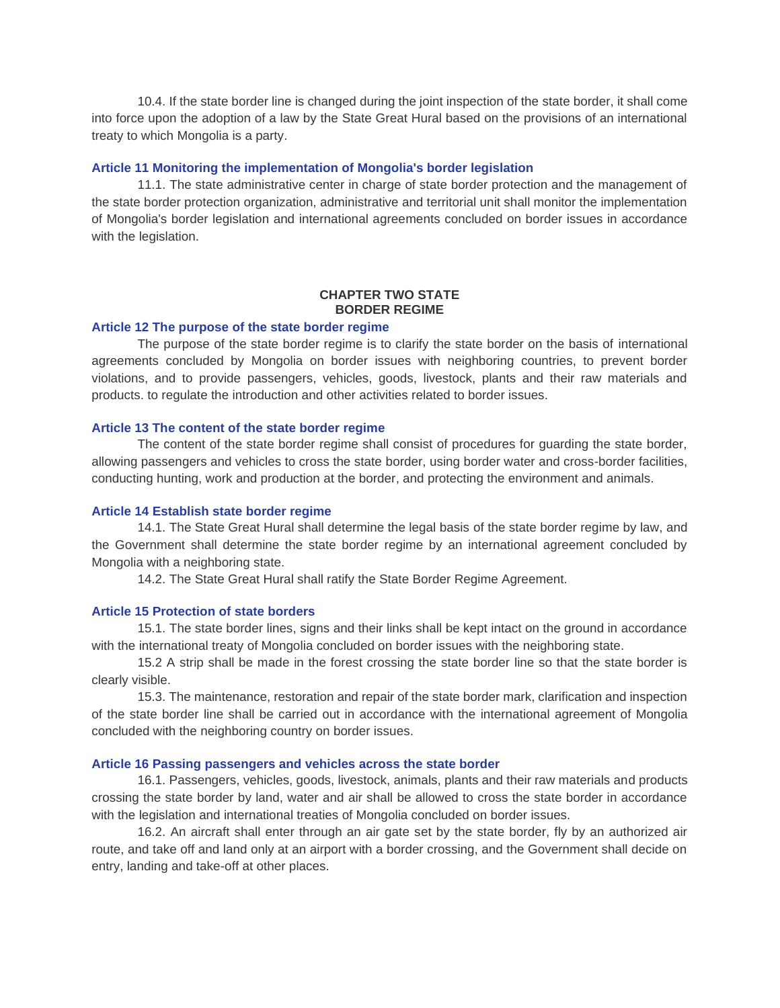10.4. If the state border line is changed during the joint inspection of the state border, it shall come into force upon the adoption of a law by the State Great Hural based on the provisions of an international treaty to which Mongolia is a party.

#### **Article 11 Monitoring the implementation of Mongolia's border legislation**

11.1. The state administrative center in charge of state border protection and the management of the state border protection organization, administrative and territorial unit shall monitor the implementation of Mongolia's border legislation and international agreements concluded on border issues in accordance with the legislation.

## **CHAPTER TWO STATE BORDER REGIME**

#### **Article 12 The purpose of the state border regime**

The purpose of the state border regime is to clarify the state border on the basis of international agreements concluded by Mongolia on border issues with neighboring countries, to prevent border violations, and to provide passengers, vehicles, goods, livestock, plants and their raw materials and products. to regulate the introduction and other activities related to border issues.

#### **Article 13 The content of the state border regime**

The content of the state border regime shall consist of procedures for guarding the state border, allowing passengers and vehicles to cross the state border, using border water and cross-border facilities, conducting hunting, work and production at the border, and protecting the environment and animals.

#### **Article 14 Establish state border regime**

14.1. The State Great Hural shall determine the legal basis of the state border regime by law, and the Government shall determine the state border regime by an international agreement concluded by Mongolia with a neighboring state.

14.2. The State Great Hural shall ratify the State Border Regime Agreement.

#### **Article 15 Protection of state borders**

15.1. The state border lines, signs and their links shall be kept intact on the ground in accordance with the international treaty of Mongolia concluded on border issues with the neighboring state.

15.2 A strip shall be made in the forest crossing the state border line so that the state border is clearly visible.

15.3. The maintenance, restoration and repair of the state border mark, clarification and inspection of the state border line shall be carried out in accordance with the international agreement of Mongolia concluded with the neighboring country on border issues.

#### **Article 16 Passing passengers and vehicles across the state border**

16.1. Passengers, vehicles, goods, livestock, animals, plants and their raw materials and products crossing the state border by land, water and air shall be allowed to cross the state border in accordance with the legislation and international treaties of Mongolia concluded on border issues.

16.2. An aircraft shall enter through an air gate set by the state border, fly by an authorized air route, and take off and land only at an airport with a border crossing, and the Government shall decide on entry, landing and take-off at other places.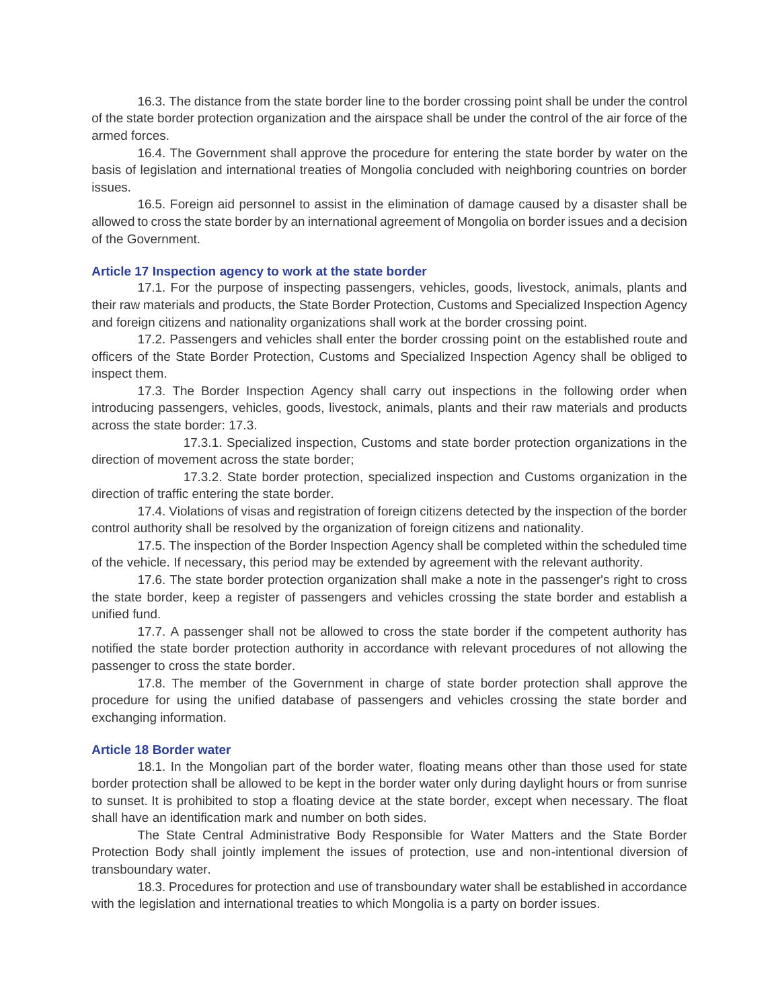16.3. The distance from the state border line to the border crossing point shall be under the control of the state border protection organization and the airspace shall be under the control of the air force of the armed forces.

16.4. The Government shall approve the procedure for entering the state border by water on the basis of legislation and international treaties of Mongolia concluded with neighboring countries on border issues.

16.5. Foreign aid personnel to assist in the elimination of damage caused by a disaster shall be allowed to cross the state border by an international agreement of Mongolia on border issues and a decision of the Government.

### **Article 17 Inspection agency to work at the state border**

17.1. For the purpose of inspecting passengers, vehicles, goods, livestock, animals, plants and their raw materials and products, the State Border Protection, Customs and Specialized Inspection Agency and foreign citizens and nationality organizations shall work at the border crossing point.

17.2. Passengers and vehicles shall enter the border crossing point on the established route and officers of the State Border Protection, Customs and Specialized Inspection Agency shall be obliged to inspect them.

17.3. The Border Inspection Agency shall carry out inspections in the following order when introducing passengers, vehicles, goods, livestock, animals, plants and their raw materials and products across the state border: 17.3.

17.3.1. Specialized inspection, Customs and state border protection organizations in the direction of movement across the state border;

17.3.2. State border protection, specialized inspection and Customs organization in the direction of traffic entering the state border.

17.4. Violations of visas and registration of foreign citizens detected by the inspection of the border control authority shall be resolved by the organization of foreign citizens and nationality.

17.5. The inspection of the Border Inspection Agency shall be completed within the scheduled time of the vehicle. If necessary, this period may be extended by agreement with the relevant authority.

17.6. The state border protection organization shall make a note in the passenger's right to cross the state border, keep a register of passengers and vehicles crossing the state border and establish a unified fund.

17.7. A passenger shall not be allowed to cross the state border if the competent authority has notified the state border protection authority in accordance with relevant procedures of not allowing the passenger to cross the state border.

17.8. The member of the Government in charge of state border protection shall approve the procedure for using the unified database of passengers and vehicles crossing the state border and exchanging information.

#### **Article 18 Border water**

18.1. In the Mongolian part of the border water, floating means other than those used for state border protection shall be allowed to be kept in the border water only during daylight hours or from sunrise to sunset. It is prohibited to stop a floating device at the state border, except when necessary. The float shall have an identification mark and number on both sides.

The State Central Administrative Body Responsible for Water Matters and the State Border Protection Body shall jointly implement the issues of protection, use and non-intentional diversion of transboundary water.

18.3. Procedures for protection and use of transboundary water shall be established in accordance with the legislation and international treaties to which Mongolia is a party on border issues.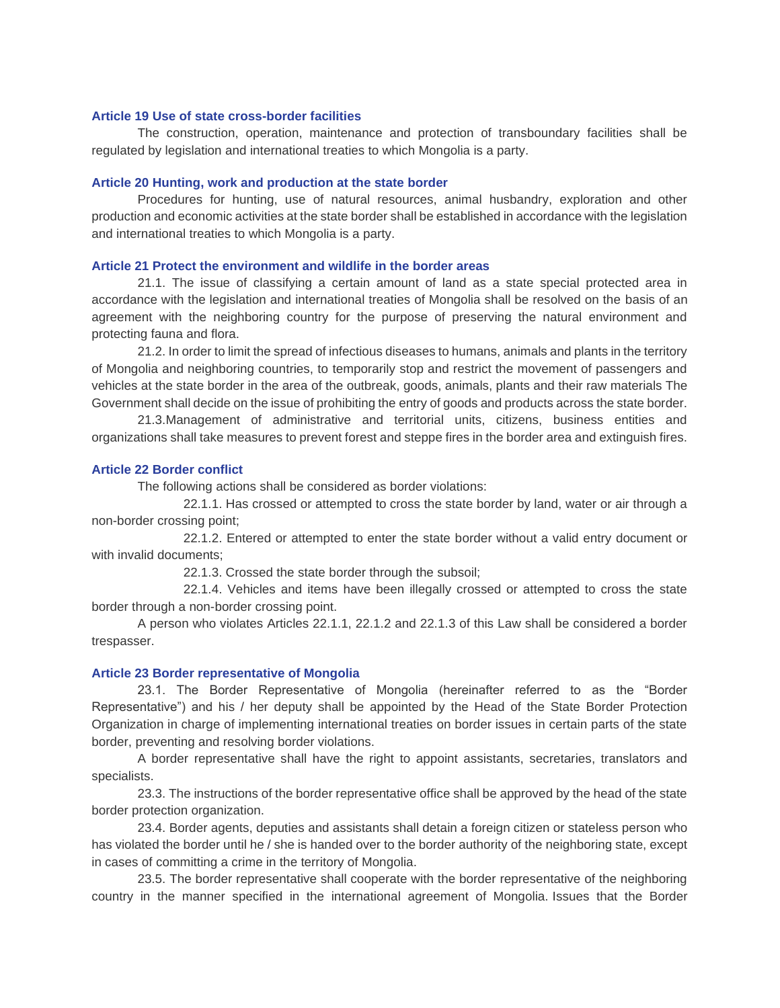#### **Article 19 Use of state cross-border facilities**

The construction, operation, maintenance and protection of transboundary facilities shall be regulated by legislation and international treaties to which Mongolia is a party.

#### **Article 20 Hunting, work and production at the state border**

Procedures for hunting, use of natural resources, animal husbandry, exploration and other production and economic activities at the state border shall be established in accordance with the legislation and international treaties to which Mongolia is a party.

### **Article 21 Protect the environment and wildlife in the border areas**

21.1. The issue of classifying a certain amount of land as a state special protected area in accordance with the legislation and international treaties of Mongolia shall be resolved on the basis of an agreement with the neighboring country for the purpose of preserving the natural environment and protecting fauna and flora.

21.2. In order to limit the spread of infectious diseases to humans, animals and plants in the territory of Mongolia and neighboring countries, to temporarily stop and restrict the movement of passengers and vehicles at the state border in the area of the outbreak, goods, animals, plants and their raw materials The Government shall decide on the issue of prohibiting the entry of goods and products across the state border.

21.3.Management of administrative and territorial units, citizens, business entities and organizations shall take measures to prevent forest and steppe fires in the border area and extinguish fires.

#### **Article 22 Border conflict**

The following actions shall be considered as border violations:

22.1.1. Has crossed or attempted to cross the state border by land, water or air through a non-border crossing point;

22.1.2. Entered or attempted to enter the state border without a valid entry document or with invalid documents;

22.1.3. Crossed the state border through the subsoil;

22.1.4. Vehicles and items have been illegally crossed or attempted to cross the state border through a non-border crossing point.

A person who violates Articles 22.1.1, 22.1.2 and 22.1.3 of this Law shall be considered a border trespasser.

#### **Article 23 Border representative of Mongolia**

23.1. The Border Representative of Mongolia (hereinafter referred to as the "Border Representative") and his / her deputy shall be appointed by the Head of the State Border Protection Organization in charge of implementing international treaties on border issues in certain parts of the state border, preventing and resolving border violations.

A border representative shall have the right to appoint assistants, secretaries, translators and specialists.

23.3. The instructions of the border representative office shall be approved by the head of the state border protection organization.

23.4. Border agents, deputies and assistants shall detain a foreign citizen or stateless person who has violated the border until he / she is handed over to the border authority of the neighboring state, except in cases of committing a crime in the territory of Mongolia.

23.5. The border representative shall cooperate with the border representative of the neighboring country in the manner specified in the international agreement of Mongolia. Issues that the Border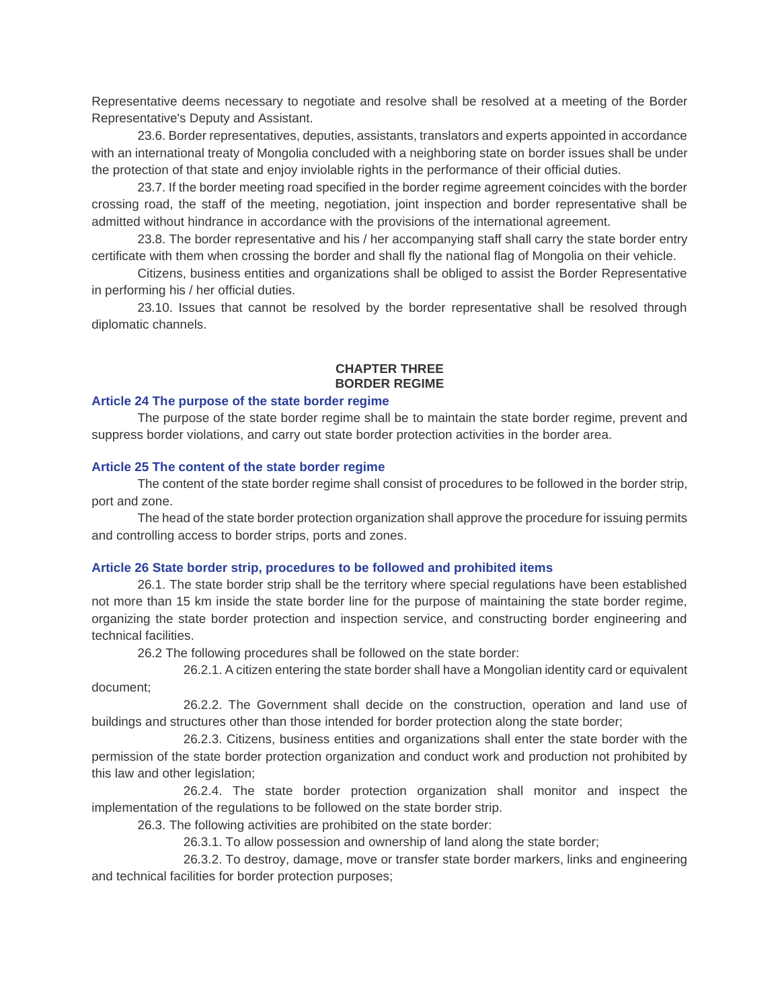Representative deems necessary to negotiate and resolve shall be resolved at a meeting of the Border Representative's Deputy and Assistant.

23.6. Border representatives, deputies, assistants, translators and experts appointed in accordance with an international treaty of Mongolia concluded with a neighboring state on border issues shall be under the protection of that state and enjoy inviolable rights in the performance of their official duties.

23.7. If the border meeting road specified in the border regime agreement coincides with the border crossing road, the staff of the meeting, negotiation, joint inspection and border representative shall be admitted without hindrance in accordance with the provisions of the international agreement.

23.8. The border representative and his / her accompanying staff shall carry the state border entry certificate with them when crossing the border and shall fly the national flag of Mongolia on their vehicle.

Citizens, business entities and organizations shall be obliged to assist the Border Representative in performing his / her official duties.

23.10. Issues that cannot be resolved by the border representative shall be resolved through diplomatic channels.

## **CHAPTER THREE BORDER REGIME**

#### **Article 24 The purpose of the state border regime**

The purpose of the state border regime shall be to maintain the state border regime, prevent and suppress border violations, and carry out state border protection activities in the border area.

#### **Article 25 The content of the state border regime**

The content of the state border regime shall consist of procedures to be followed in the border strip, port and zone.

The head of the state border protection organization shall approve the procedure for issuing permits and controlling access to border strips, ports and zones.

## **Article 26 State border strip, procedures to be followed and prohibited items**

26.1. The state border strip shall be the territory where special regulations have been established not more than 15 km inside the state border line for the purpose of maintaining the state border regime, organizing the state border protection and inspection service, and constructing border engineering and technical facilities.

26.2 The following procedures shall be followed on the state border:

26.2.1. A citizen entering the state border shall have a Mongolian identity card or equivalent document;

26.2.2. The Government shall decide on the construction, operation and land use of buildings and structures other than those intended for border protection along the state border;

26.2.3. Citizens, business entities and organizations shall enter the state border with the permission of the state border protection organization and conduct work and production not prohibited by this law and other legislation;

26.2.4. The state border protection organization shall monitor and inspect the implementation of the regulations to be followed on the state border strip.

26.3. The following activities are prohibited on the state border:

26.3.1. To allow possession and ownership of land along the state border;

26.3.2. To destroy, damage, move or transfer state border markers, links and engineering and technical facilities for border protection purposes;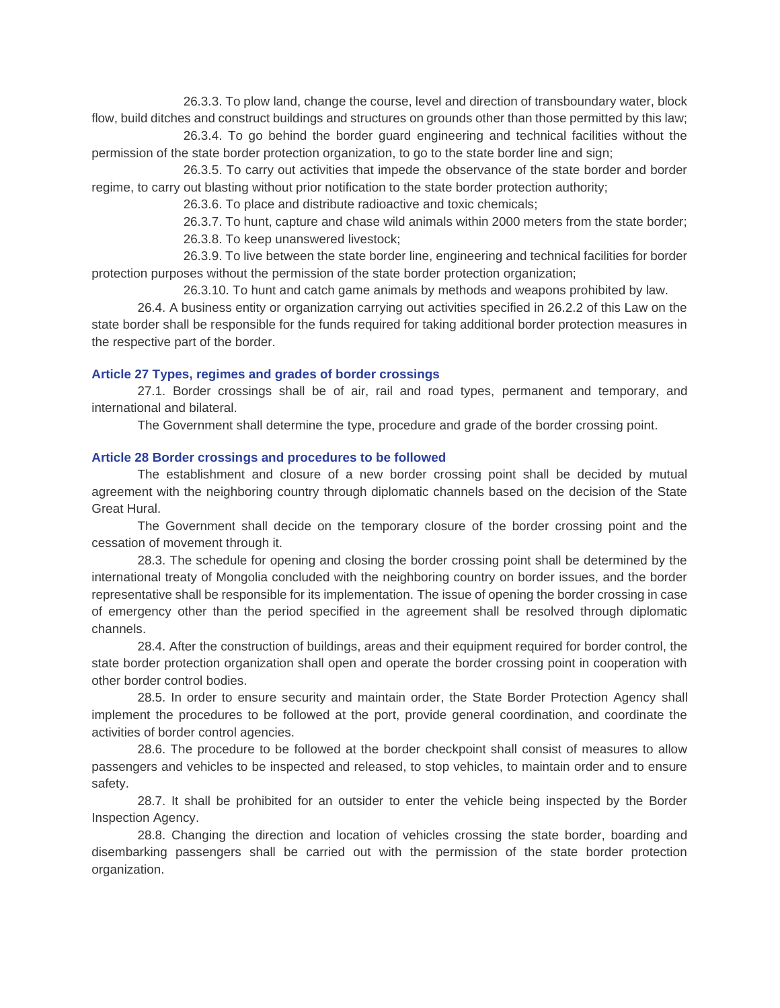26.3.3. To plow land, change the course, level and direction of transboundary water, block flow, build ditches and construct buildings and structures on grounds other than those permitted by this law;

26.3.4. To go behind the border guard engineering and technical facilities without the permission of the state border protection organization, to go to the state border line and sign;

26.3.5. To carry out activities that impede the observance of the state border and border regime, to carry out blasting without prior notification to the state border protection authority;

26.3.6. To place and distribute radioactive and toxic chemicals;

26.3.7. To hunt, capture and chase wild animals within 2000 meters from the state border;

26.3.8. To keep unanswered livestock;

26.3.9. To live between the state border line, engineering and technical facilities for border protection purposes without the permission of the state border protection organization;

26.3.10. To hunt and catch game animals by methods and weapons prohibited by law.

26.4. A business entity or organization carrying out activities specified in 26.2.2 of this Law on the state border shall be responsible for the funds required for taking additional border protection measures in the respective part of the border.

#### **Article 27 Types, regimes and grades of border crossings**

27.1. Border crossings shall be of air, rail and road types, permanent and temporary, and international and bilateral.

The Government shall determine the type, procedure and grade of the border crossing point.

#### **Article 28 Border crossings and procedures to be followed**

The establishment and closure of a new border crossing point shall be decided by mutual agreement with the neighboring country through diplomatic channels based on the decision of the State Great Hural.

The Government shall decide on the temporary closure of the border crossing point and the cessation of movement through it.

28.3. The schedule for opening and closing the border crossing point shall be determined by the international treaty of Mongolia concluded with the neighboring country on border issues, and the border representative shall be responsible for its implementation. The issue of opening the border crossing in case of emergency other than the period specified in the agreement shall be resolved through diplomatic channels.

28.4. After the construction of buildings, areas and their equipment required for border control, the state border protection organization shall open and operate the border crossing point in cooperation with other border control bodies.

28.5. In order to ensure security and maintain order, the State Border Protection Agency shall implement the procedures to be followed at the port, provide general coordination, and coordinate the activities of border control agencies.

28.6. The procedure to be followed at the border checkpoint shall consist of measures to allow passengers and vehicles to be inspected and released, to stop vehicles, to maintain order and to ensure safety.

28.7. It shall be prohibited for an outsider to enter the vehicle being inspected by the Border Inspection Agency.

28.8. Changing the direction and location of vehicles crossing the state border, boarding and disembarking passengers shall be carried out with the permission of the state border protection organization.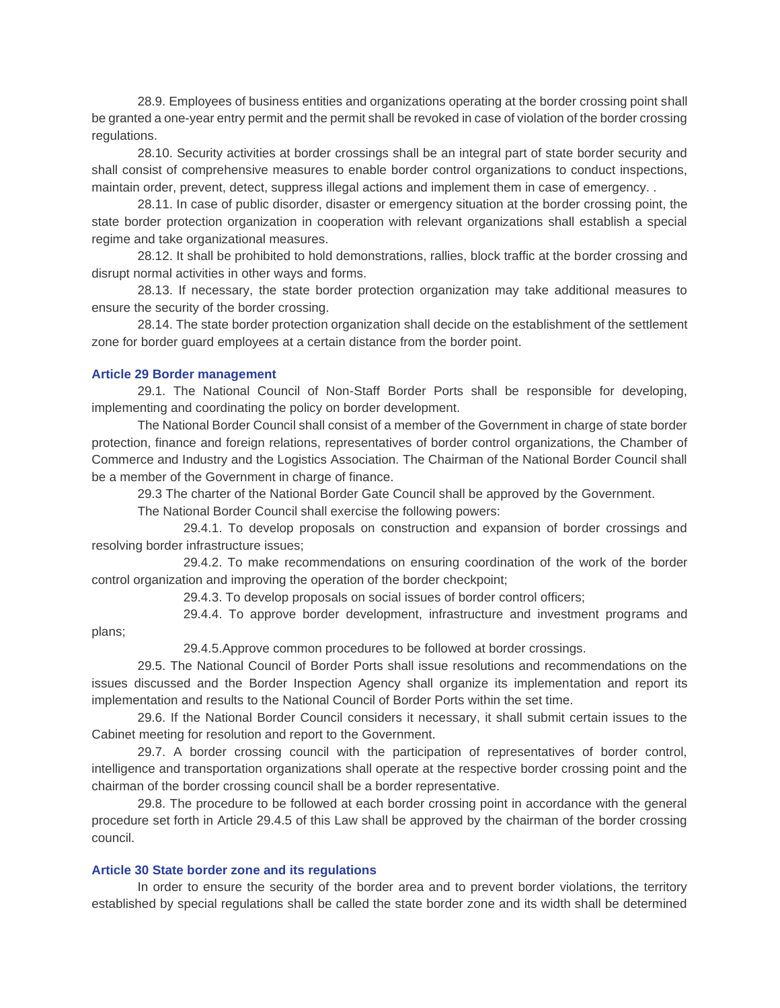28.9. Employees of business entities and organizations operating at the border crossing point shall be granted a one-year entry permit and the permit shall be revoked in case of violation of the border crossing regulations.

28.10. Security activities at border crossings shall be an integral part of state border security and shall consist of comprehensive measures to enable border control organizations to conduct inspections, maintain order, prevent, detect, suppress illegal actions and implement them in case of emergency. .

28.11. In case of public disorder, disaster or emergency situation at the border crossing point, the state border protection organization in cooperation with relevant organizations shall establish a special regime and take organizational measures.

28.12. It shall be prohibited to hold demonstrations, rallies, block traffic at the border crossing and disrupt normal activities in other ways and forms.

28.13. If necessary, the state border protection organization may take additional measures to ensure the security of the border crossing.

28.14. The state border protection organization shall decide on the establishment of the settlement zone for border guard employees at a certain distance from the border point.

## **Article 29 Border management**

29.1. The National Council of Non-Staff Border Ports shall be responsible for developing, implementing and coordinating the policy on border development.

The National Border Council shall consist of a member of the Government in charge of state border protection, finance and foreign relations, representatives of border control organizations, the Chamber of Commerce and Industry and the Logistics Association. The Chairman of the National Border Council shall be a member of the Government in charge of finance.

29.3 The charter of the National Border Gate Council shall be approved by the Government.

The National Border Council shall exercise the following powers:

29.4.1. To develop proposals on construction and expansion of border crossings and resolving border infrastructure issues;

29.4.2. To make recommendations on ensuring coordination of the work of the border control organization and improving the operation of the border checkpoint;

29.4.3. To develop proposals on social issues of border control officers;

29.4.4. To approve border development, infrastructure and investment programs and

plans;

29.4.5.Approve common procedures to be followed at border crossings.

29.5. The National Council of Border Ports shall issue resolutions and recommendations on the issues discussed and the Border Inspection Agency shall organize its implementation and report its implementation and results to the National Council of Border Ports within the set time.

29.6. If the National Border Council considers it necessary, it shall submit certain issues to the Cabinet meeting for resolution and report to the Government.

29.7. A border crossing council with the participation of representatives of border control, intelligence and transportation organizations shall operate at the respective border crossing point and the chairman of the border crossing council shall be a border representative.

29.8. The procedure to be followed at each border crossing point in accordance with the general procedure set forth in Article 29.4.5 of this Law shall be approved by the chairman of the border crossing council.

#### **Article 30 State border zone and its regulations**

In order to ensure the security of the border area and to prevent border violations, the territory established by special regulations shall be called the state border zone and its width shall be determined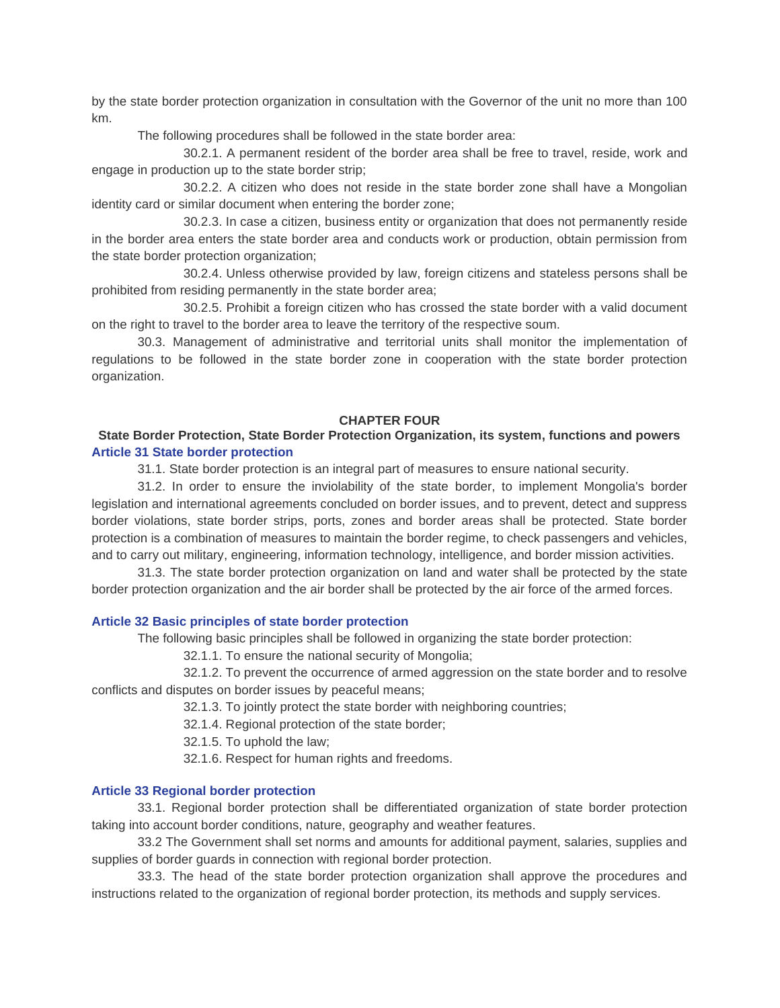by the state border protection organization in consultation with the Governor of the unit no more than 100 km.

The following procedures shall be followed in the state border area:

30.2.1. A permanent resident of the border area shall be free to travel, reside, work and engage in production up to the state border strip;

30.2.2. A citizen who does not reside in the state border zone shall have a Mongolian identity card or similar document when entering the border zone;

30.2.3. In case a citizen, business entity or organization that does not permanently reside in the border area enters the state border area and conducts work or production, obtain permission from the state border protection organization;

30.2.4. Unless otherwise provided by law, foreign citizens and stateless persons shall be prohibited from residing permanently in the state border area;

30.2.5. Prohibit a foreign citizen who has crossed the state border with a valid document on the right to travel to the border area to leave the territory of the respective soum.

30.3. Management of administrative and territorial units shall monitor the implementation of regulations to be followed in the state border zone in cooperation with the state border protection organization.

## **CHAPTER FOUR**

# **State Border Protection, State Border Protection Organization, its system, functions and powers Article 31 State border protection**

31.1. State border protection is an integral part of measures to ensure national security.

31.2. In order to ensure the inviolability of the state border, to implement Mongolia's border legislation and international agreements concluded on border issues, and to prevent, detect and suppress border violations, state border strips, ports, zones and border areas shall be protected. State border protection is a combination of measures to maintain the border regime, to check passengers and vehicles, and to carry out military, engineering, information technology, intelligence, and border mission activities.

31.3. The state border protection organization on land and water shall be protected by the state border protection organization and the air border shall be protected by the air force of the armed forces.

## **Article 32 Basic principles of state border protection**

The following basic principles shall be followed in organizing the state border protection:

32.1.1. To ensure the national security of Mongolia;

32.1.2. To prevent the occurrence of armed aggression on the state border and to resolve conflicts and disputes on border issues by peaceful means;

32.1.3. To jointly protect the state border with neighboring countries;

32.1.4. Regional protection of the state border;

32.1.5. To uphold the law;

32.1.6. Respect for human rights and freedoms.

### **Article 33 Regional border protection**

33.1. Regional border protection shall be differentiated organization of state border protection taking into account border conditions, nature, geography and weather features.

33.2 The Government shall set norms and amounts for additional payment, salaries, supplies and supplies of border guards in connection with regional border protection.

33.3. The head of the state border protection organization shall approve the procedures and instructions related to the organization of regional border protection, its methods and supply services.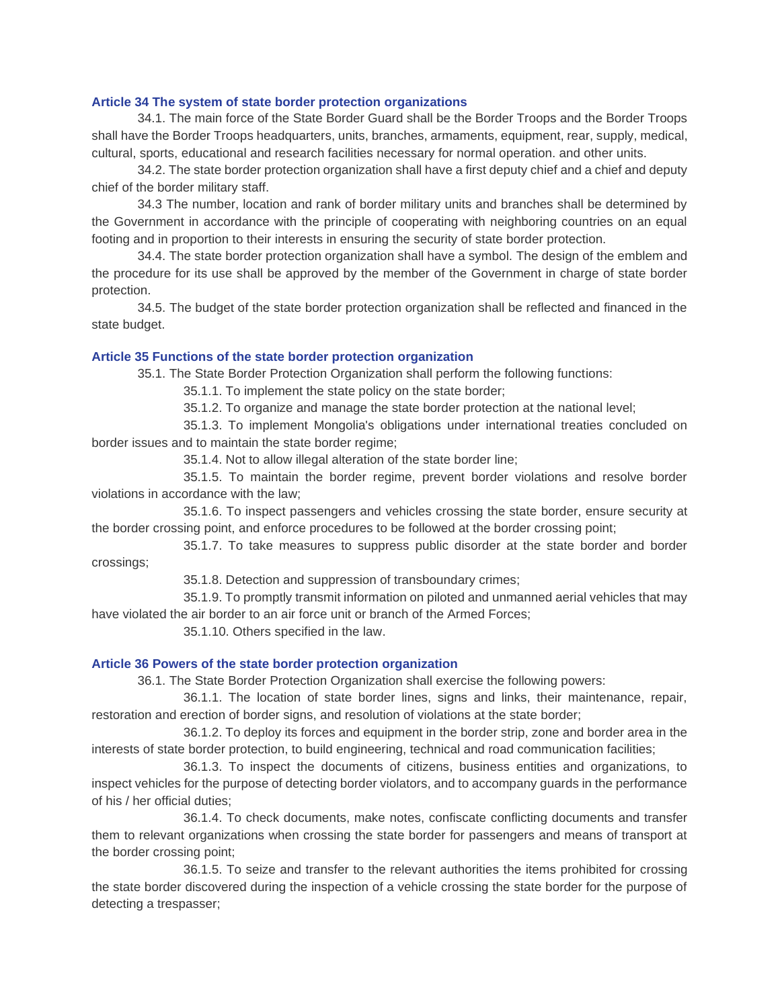## **Article 34 The system of state border protection organizations**

34.1. The main force of the State Border Guard shall be the Border Troops and the Border Troops shall have the Border Troops headquarters, units, branches, armaments, equipment, rear, supply, medical, cultural, sports, educational and research facilities necessary for normal operation. and other units.

34.2. The state border protection organization shall have a first deputy chief and a chief and deputy chief of the border military staff.

34.3 The number, location and rank of border military units and branches shall be determined by the Government in accordance with the principle of cooperating with neighboring countries on an equal footing and in proportion to their interests in ensuring the security of state border protection.

34.4. The state border protection organization shall have a symbol. The design of the emblem and the procedure for its use shall be approved by the member of the Government in charge of state border protection.

34.5. The budget of the state border protection organization shall be reflected and financed in the state budget.

# **Article 35 Functions of the state border protection organization**

35.1. The State Border Protection Organization shall perform the following functions:

35.1.1. To implement the state policy on the state border;

35.1.2. To organize and manage the state border protection at the national level;

35.1.3. To implement Mongolia's obligations under international treaties concluded on border issues and to maintain the state border regime;

35.1.4. Not to allow illegal alteration of the state border line;

35.1.5. To maintain the border regime, prevent border violations and resolve border violations in accordance with the law;

35.1.6. To inspect passengers and vehicles crossing the state border, ensure security at the border crossing point, and enforce procedures to be followed at the border crossing point;

35.1.7. To take measures to suppress public disorder at the state border and border crossings;

35.1.8. Detection and suppression of transboundary crimes;

35.1.9. To promptly transmit information on piloted and unmanned aerial vehicles that may have violated the air border to an air force unit or branch of the Armed Forces;

35.1.10. Others specified in the law.

## **Article 36 Powers of the state border protection organization**

36.1. The State Border Protection Organization shall exercise the following powers:

36.1.1. The location of state border lines, signs and links, their maintenance, repair, restoration and erection of border signs, and resolution of violations at the state border;

36.1.2. To deploy its forces and equipment in the border strip, zone and border area in the interests of state border protection, to build engineering, technical and road communication facilities;

36.1.3. To inspect the documents of citizens, business entities and organizations, to inspect vehicles for the purpose of detecting border violators, and to accompany guards in the performance of his / her official duties;

36.1.4. To check documents, make notes, confiscate conflicting documents and transfer them to relevant organizations when crossing the state border for passengers and means of transport at the border crossing point;

36.1.5. To seize and transfer to the relevant authorities the items prohibited for crossing the state border discovered during the inspection of a vehicle crossing the state border for the purpose of detecting a trespasser;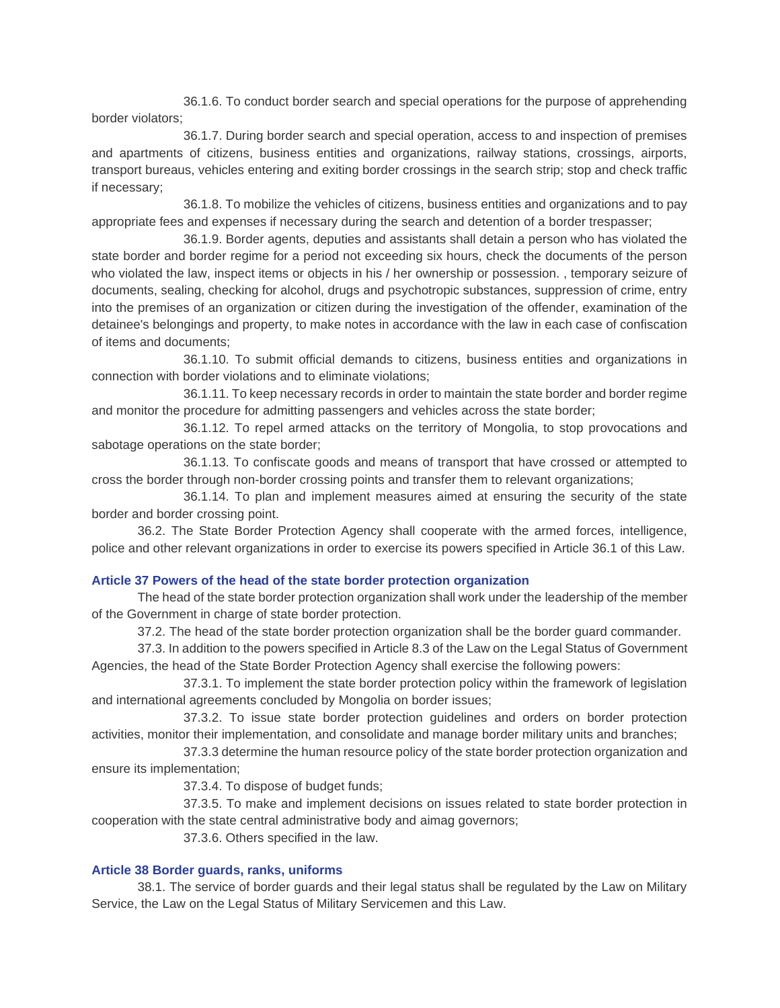36.1.6. To conduct border search and special operations for the purpose of apprehending border violators;

36.1.7. During border search and special operation, access to and inspection of premises and apartments of citizens, business entities and organizations, railway stations, crossings, airports, transport bureaus, vehicles entering and exiting border crossings in the search strip; stop and check traffic if necessary;

36.1.8. To mobilize the vehicles of citizens, business entities and organizations and to pay appropriate fees and expenses if necessary during the search and detention of a border trespasser;

36.1.9. Border agents, deputies and assistants shall detain a person who has violated the state border and border regime for a period not exceeding six hours, check the documents of the person who violated the law, inspect items or objects in his / her ownership or possession. , temporary seizure of documents, sealing, checking for alcohol, drugs and psychotropic substances, suppression of crime, entry into the premises of an organization or citizen during the investigation of the offender, examination of the detainee's belongings and property, to make notes in accordance with the law in each case of confiscation of items and documents;

36.1.10. To submit official demands to citizens, business entities and organizations in connection with border violations and to eliminate violations;

36.1.11. To keep necessary records in order to maintain the state border and border regime and monitor the procedure for admitting passengers and vehicles across the state border;

36.1.12. To repel armed attacks on the territory of Mongolia, to stop provocations and sabotage operations on the state border;

36.1.13. To confiscate goods and means of transport that have crossed or attempted to cross the border through non-border crossing points and transfer them to relevant organizations;

36.1.14. To plan and implement measures aimed at ensuring the security of the state border and border crossing point.

36.2. The State Border Protection Agency shall cooperate with the armed forces, intelligence, police and other relevant organizations in order to exercise its powers specified in Article 36.1 of this Law.

## **Article 37 Powers of the head of the state border protection organization**

The head of the state border protection organization shall work under the leadership of the member of the Government in charge of state border protection.

37.2. The head of the state border protection organization shall be the border guard commander.

37.3. In addition to the powers specified in Article 8.3 of the Law on the Legal Status of Government Agencies, the head of the State Border Protection Agency shall exercise the following powers:

37.3.1. To implement the state border protection policy within the framework of legislation and international agreements concluded by Mongolia on border issues;

37.3.2. To issue state border protection guidelines and orders on border protection activities, monitor their implementation, and consolidate and manage border military units and branches;

37.3.3 determine the human resource policy of the state border protection organization and ensure its implementation;

37.3.4. To dispose of budget funds;

37.3.5. To make and implement decisions on issues related to state border protection in cooperation with the state central administrative body and aimag governors;

37.3.6. Others specified in the law.

## **Article 38 Border guards, ranks, uniforms**

38.1. The service of border guards and their legal status shall be regulated by the Law on Military Service, the Law on the Legal Status of Military Servicemen and this Law.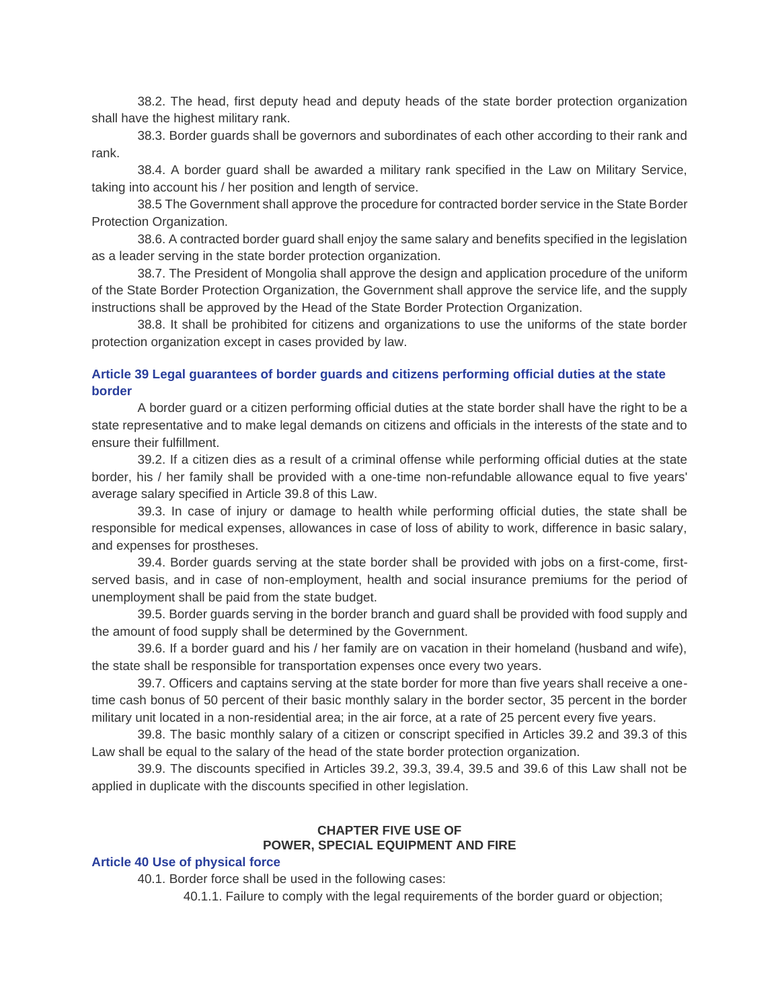38.2. The head, first deputy head and deputy heads of the state border protection organization shall have the highest military rank.

38.3. Border guards shall be governors and subordinates of each other according to their rank and rank.

38.4. A border guard shall be awarded a military rank specified in the Law on Military Service, taking into account his / her position and length of service.

38.5 The Government shall approve the procedure for contracted border service in the State Border Protection Organization.

38.6. A contracted border guard shall enjoy the same salary and benefits specified in the legislation as a leader serving in the state border protection organization.

38.7. The President of Mongolia shall approve the design and application procedure of the uniform of the State Border Protection Organization, the Government shall approve the service life, and the supply instructions shall be approved by the Head of the State Border Protection Organization.

38.8. It shall be prohibited for citizens and organizations to use the uniforms of the state border protection organization except in cases provided by law.

# **Article 39 Legal guarantees of border guards and citizens performing official duties at the state border**

A border guard or a citizen performing official duties at the state border shall have the right to be a state representative and to make legal demands on citizens and officials in the interests of the state and to ensure their fulfillment.

39.2. If a citizen dies as a result of a criminal offense while performing official duties at the state border, his / her family shall be provided with a one-time non-refundable allowance equal to five years' average salary specified in Article 39.8 of this Law.

39.3. In case of injury or damage to health while performing official duties, the state shall be responsible for medical expenses, allowances in case of loss of ability to work, difference in basic salary, and expenses for prostheses.

39.4. Border guards serving at the state border shall be provided with jobs on a first-come, firstserved basis, and in case of non-employment, health and social insurance premiums for the period of unemployment shall be paid from the state budget.

39.5. Border guards serving in the border branch and guard shall be provided with food supply and the amount of food supply shall be determined by the Government.

39.6. If a border guard and his / her family are on vacation in their homeland (husband and wife), the state shall be responsible for transportation expenses once every two years.

39.7. Officers and captains serving at the state border for more than five years shall receive a onetime cash bonus of 50 percent of their basic monthly salary in the border sector, 35 percent in the border military unit located in a non-residential area; in the air force, at a rate of 25 percent every five years.

39.8. The basic monthly salary of a citizen or conscript specified in Articles 39.2 and 39.3 of this Law shall be equal to the salary of the head of the state border protection organization.

39.9. The discounts specified in Articles 39.2, 39.3, 39.4, 39.5 and 39.6 of this Law shall not be applied in duplicate with the discounts specified in other legislation.

# **CHAPTER FIVE USE OF POWER, SPECIAL EQUIPMENT AND FIRE**

## **Article 40 Use of physical force**

40.1. Border force shall be used in the following cases:

40.1.1. Failure to comply with the legal requirements of the border guard or objection;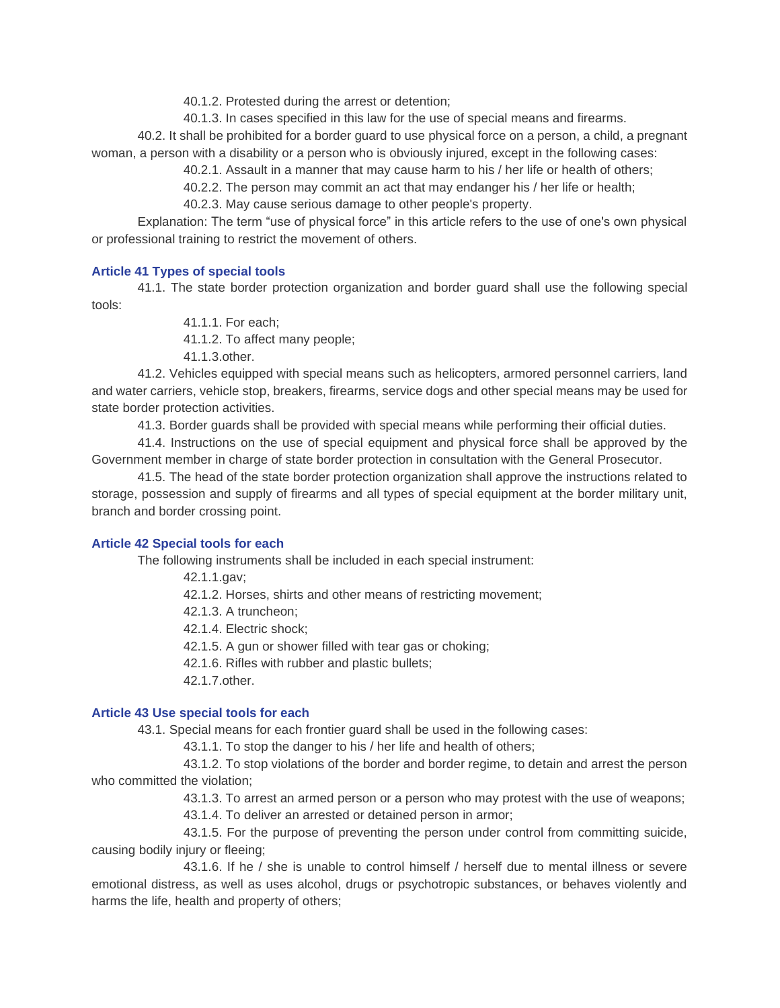40.1.2. Protested during the arrest or detention;

40.1.3. In cases specified in this law for the use of special means and firearms.

40.2. It shall be prohibited for a border guard to use physical force on a person, a child, a pregnant woman, a person with a disability or a person who is obviously injured, except in the following cases:

40.2.1. Assault in a manner that may cause harm to his / her life or health of others;

40.2.2. The person may commit an act that may endanger his / her life or health;

40.2.3. May cause serious damage to other people's property.

Explanation: The term "use of physical force" in this article refers to the use of one's own physical or professional training to restrict the movement of others.

# **Article 41 Types of special tools**

41.1. The state border protection organization and border guard shall use the following special tools:

41.1.1. For each;

41.1.2. To affect many people;

41.1.3.other.

41.2. Vehicles equipped with special means such as helicopters, armored personnel carriers, land and water carriers, vehicle stop, breakers, firearms, service dogs and other special means may be used for state border protection activities.

41.3. Border guards shall be provided with special means while performing their official duties.

41.4. Instructions on the use of special equipment and physical force shall be approved by the Government member in charge of state border protection in consultation with the General Prosecutor.

41.5. The head of the state border protection organization shall approve the instructions related to storage, possession and supply of firearms and all types of special equipment at the border military unit, branch and border crossing point.

# **Article 42 Special tools for each**

The following instruments shall be included in each special instrument:

42.1.1.gav;

42.1.2. Horses, shirts and other means of restricting movement;

42.1.3. A truncheon;

42.1.4. Electric shock;

42.1.5. A gun or shower filled with tear gas or choking;

42.1.6. Rifles with rubber and plastic bullets;

42.1.7.other.

## **Article 43 Use special tools for each**

43.1. Special means for each frontier guard shall be used in the following cases:

43.1.1. To stop the danger to his / her life and health of others;

43.1.2. To stop violations of the border and border regime, to detain and arrest the person who committed the violation;

43.1.3. To arrest an armed person or a person who may protest with the use of weapons;

43.1.4. To deliver an arrested or detained person in armor;

43.1.5. For the purpose of preventing the person under control from committing suicide, causing bodily injury or fleeing;

43.1.6. If he / she is unable to control himself / herself due to mental illness or severe emotional distress, as well as uses alcohol, drugs or psychotropic substances, or behaves violently and harms the life, health and property of others;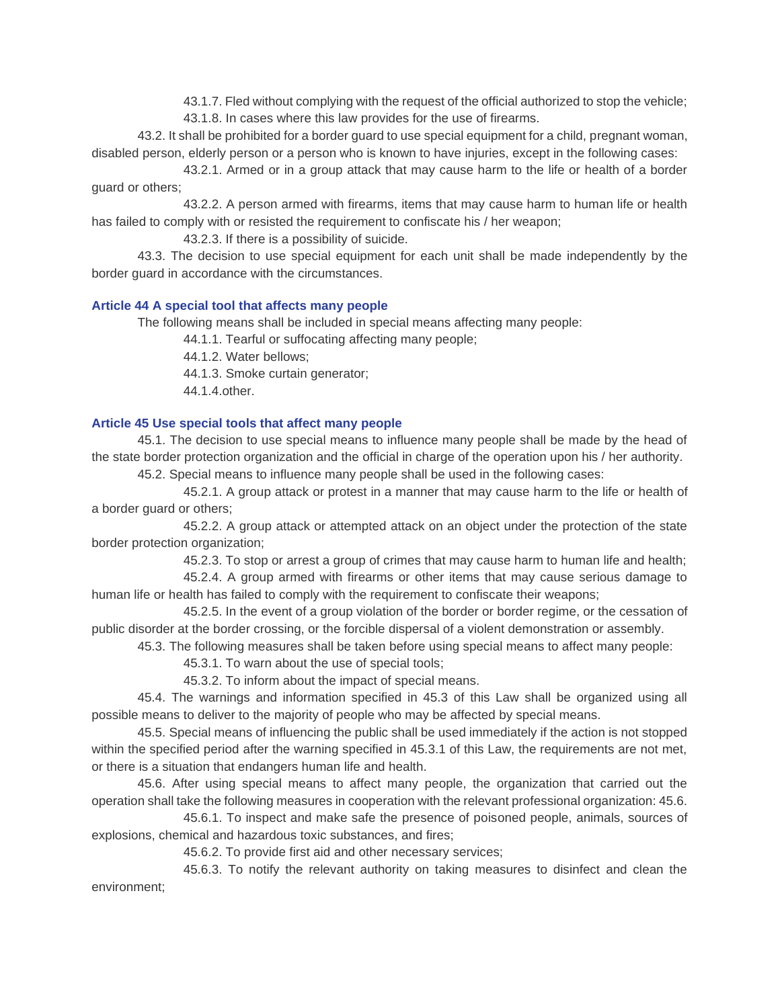43.1.7. Fled without complying with the request of the official authorized to stop the vehicle;

43.1.8. In cases where this law provides for the use of firearms.

43.2. It shall be prohibited for a border guard to use special equipment for a child, pregnant woman, disabled person, elderly person or a person who is known to have injuries, except in the following cases:

43.2.1. Armed or in a group attack that may cause harm to the life or health of a border guard or others;

43.2.2. A person armed with firearms, items that may cause harm to human life or health has failed to comply with or resisted the requirement to confiscate his / her weapon;

43.2.3. If there is a possibility of suicide.

43.3. The decision to use special equipment for each unit shall be made independently by the border guard in accordance with the circumstances.

# **Article 44 A special tool that affects many people**

The following means shall be included in special means affecting many people:

44.1.1. Tearful or suffocating affecting many people;

44.1.2. Water bellows;

44.1.3. Smoke curtain generator;

44.1.4.other.

# **Article 45 Use special tools that affect many people**

45.1. The decision to use special means to influence many people shall be made by the head of the state border protection organization and the official in charge of the operation upon his / her authority.

45.2. Special means to influence many people shall be used in the following cases:

45.2.1. A group attack or protest in a manner that may cause harm to the life or health of a border guard or others;

45.2.2. A group attack or attempted attack on an object under the protection of the state border protection organization;

45.2.3. To stop or arrest a group of crimes that may cause harm to human life and health;

45.2.4. A group armed with firearms or other items that may cause serious damage to human life or health has failed to comply with the requirement to confiscate their weapons;

45.2.5. In the event of a group violation of the border or border regime, or the cessation of public disorder at the border crossing, or the forcible dispersal of a violent demonstration or assembly.

45.3. The following measures shall be taken before using special means to affect many people:

45.3.1. To warn about the use of special tools;

45.3.2. To inform about the impact of special means.

45.4. The warnings and information specified in 45.3 of this Law shall be organized using all possible means to deliver to the majority of people who may be affected by special means.

45.5. Special means of influencing the public shall be used immediately if the action is not stopped within the specified period after the warning specified in 45.3.1 of this Law, the requirements are not met, or there is a situation that endangers human life and health.

45.6. After using special means to affect many people, the organization that carried out the operation shall take the following measures in cooperation with the relevant professional organization: 45.6.

45.6.1. To inspect and make safe the presence of poisoned people, animals, sources of explosions, chemical and hazardous toxic substances, and fires;

45.6.2. To provide first aid and other necessary services;

45.6.3. To notify the relevant authority on taking measures to disinfect and clean the environment;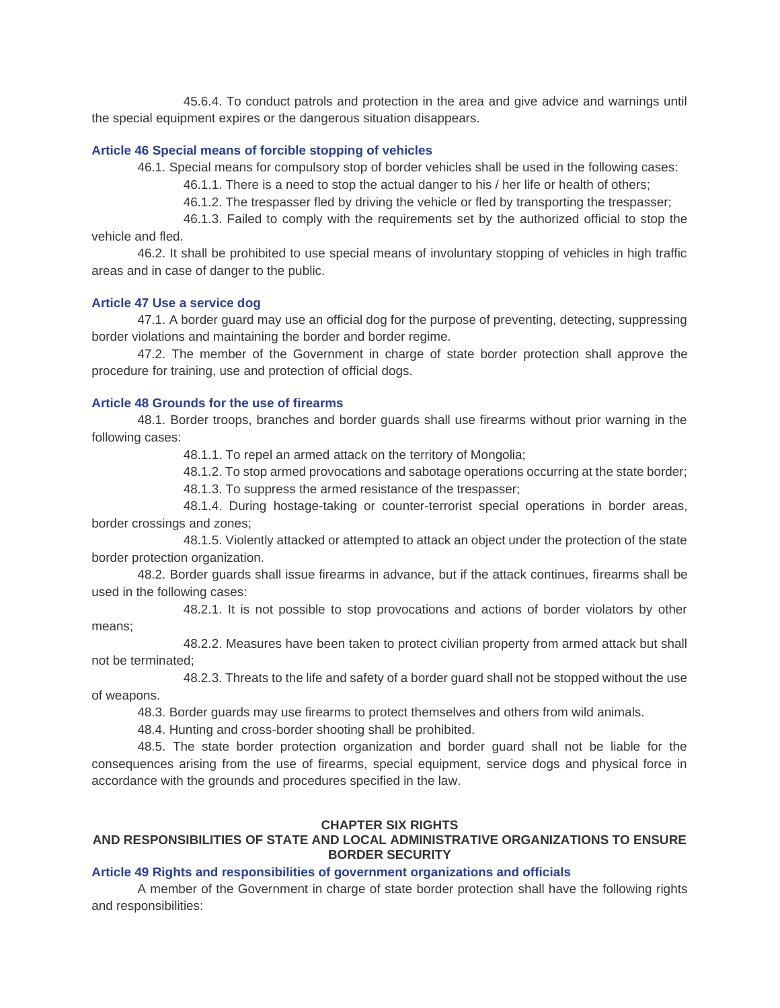45.6.4. To conduct patrols and protection in the area and give advice and warnings until the special equipment expires or the dangerous situation disappears.

#### **Article 46 Special means of forcible stopping of vehicles**

46.1. Special means for compulsory stop of border vehicles shall be used in the following cases:

46.1.1. There is a need to stop the actual danger to his / her life or health of others;

46.1.2. The trespasser fled by driving the vehicle or fled by transporting the trespasser;

46.1.3. Failed to comply with the requirements set by the authorized official to stop the vehicle and fled.

46.2. It shall be prohibited to use special means of involuntary stopping of vehicles in high traffic areas and in case of danger to the public.

### **Article 47 Use a service dog**

47.1. A border guard may use an official dog for the purpose of preventing, detecting, suppressing border violations and maintaining the border and border regime.

47.2. The member of the Government in charge of state border protection shall approve the procedure for training, use and protection of official dogs.

#### **Article 48 Grounds for the use of firearms**

48.1. Border troops, branches and border guards shall use firearms without prior warning in the following cases:

48.1.1. To repel an armed attack on the territory of Mongolia;

48.1.2. To stop armed provocations and sabotage operations occurring at the state border;

48.1.3. To suppress the armed resistance of the trespasser;

48.1.4. During hostage-taking or counter-terrorist special operations in border areas, border crossings and zones;

48.1.5. Violently attacked or attempted to attack an object under the protection of the state border protection organization.

48.2. Border guards shall issue firearms in advance, but if the attack continues, firearms shall be used in the following cases:

48.2.1. It is not possible to stop provocations and actions of border violators by other means;

48.2.2. Measures have been taken to protect civilian property from armed attack but shall not be terminated;

48.2.3. Threats to the life and safety of a border guard shall not be stopped without the use of weapons.

48.3. Border guards may use firearms to protect themselves and others from wild animals.

48.4. Hunting and cross-border shooting shall be prohibited.

48.5. The state border protection organization and border guard shall not be liable for the consequences arising from the use of firearms, special equipment, service dogs and physical force in accordance with the grounds and procedures specified in the law.

### **CHAPTER SIX RIGHTS**

# **AND RESPONSIBILITIES OF STATE AND LOCAL ADMINISTRATIVE ORGANIZATIONS TO ENSURE BORDER SECURITY**

## **Article 49 Rights and responsibilities of government organizations and officials**

A member of the Government in charge of state border protection shall have the following rights and responsibilities: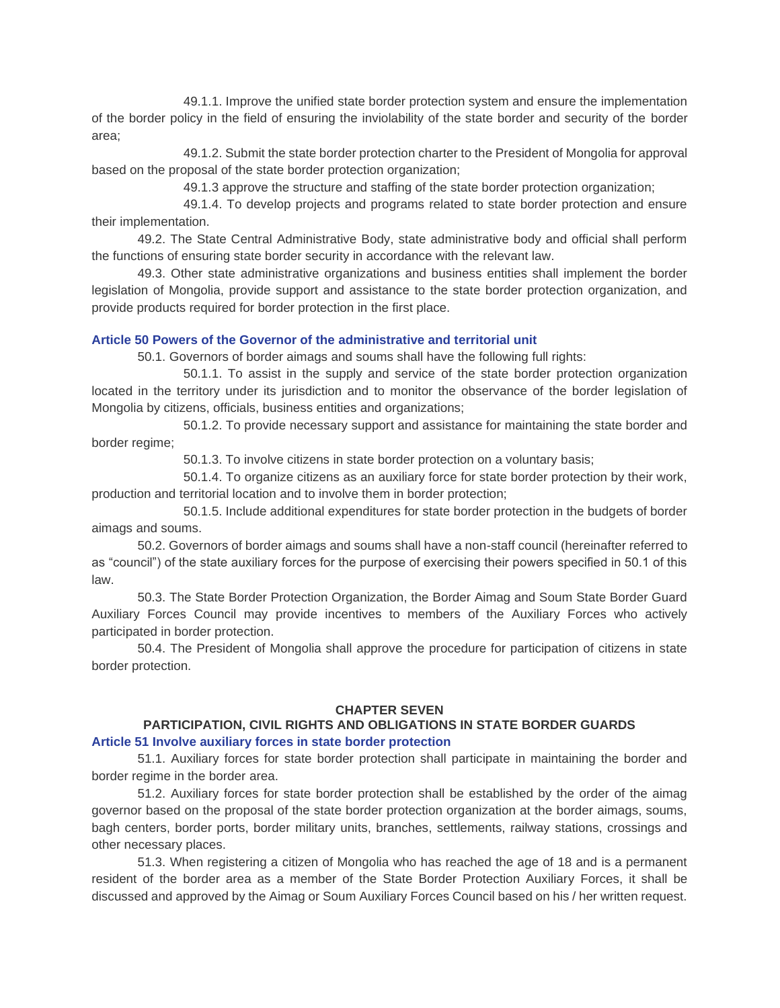49.1.1. Improve the unified state border protection system and ensure the implementation of the border policy in the field of ensuring the inviolability of the state border and security of the border area;

49.1.2. Submit the state border protection charter to the President of Mongolia for approval based on the proposal of the state border protection organization;

49.1.3 approve the structure and staffing of the state border protection organization;

49.1.4. To develop projects and programs related to state border protection and ensure their implementation.

49.2. The State Central Administrative Body, state administrative body and official shall perform the functions of ensuring state border security in accordance with the relevant law.

49.3. Other state administrative organizations and business entities shall implement the border legislation of Mongolia, provide support and assistance to the state border protection organization, and provide products required for border protection in the first place.

#### **Article 50 Powers of the Governor of the administrative and territorial unit**

50.1. Governors of border aimags and soums shall have the following full rights:

50.1.1. To assist in the supply and service of the state border protection organization located in the territory under its jurisdiction and to monitor the observance of the border legislation of Mongolia by citizens, officials, business entities and organizations;

50.1.2. To provide necessary support and assistance for maintaining the state border and border regime;

50.1.3. To involve citizens in state border protection on a voluntary basis;

50.1.4. To organize citizens as an auxiliary force for state border protection by their work, production and territorial location and to involve them in border protection;

50.1.5. Include additional expenditures for state border protection in the budgets of border aimags and soums.

50.2. Governors of border aimags and soums shall have a non-staff council (hereinafter referred to as "council") of the state auxiliary forces for the purpose of exercising their powers specified in 50.1 of this law.

50.3. The State Border Protection Organization, the Border Aimag and Soum State Border Guard Auxiliary Forces Council may provide incentives to members of the Auxiliary Forces who actively participated in border protection.

50.4. The President of Mongolia shall approve the procedure for participation of citizens in state border protection.

#### **CHAPTER SEVEN**

# **PARTICIPATION, CIVIL RIGHTS AND OBLIGATIONS IN STATE BORDER GUARDS**

## **Article 51 Involve auxiliary forces in state border protection**

51.1. Auxiliary forces for state border protection shall participate in maintaining the border and border regime in the border area.

51.2. Auxiliary forces for state border protection shall be established by the order of the aimag governor based on the proposal of the state border protection organization at the border aimags, soums, bagh centers, border ports, border military units, branches, settlements, railway stations, crossings and other necessary places.

51.3. When registering a citizen of Mongolia who has reached the age of 18 and is a permanent resident of the border area as a member of the State Border Protection Auxiliary Forces, it shall be discussed and approved by the Aimag or Soum Auxiliary Forces Council based on his / her written request.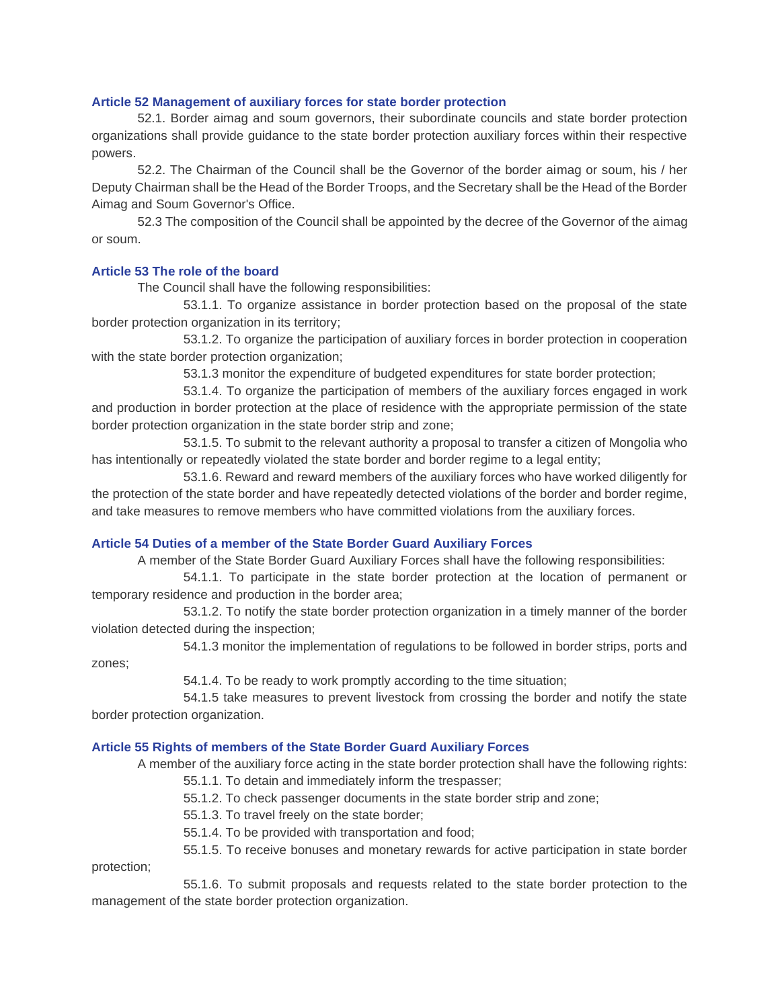## **Article 52 Management of auxiliary forces for state border protection**

52.1. Border aimag and soum governors, their subordinate councils and state border protection organizations shall provide guidance to the state border protection auxiliary forces within their respective powers.

52.2. The Chairman of the Council shall be the Governor of the border aimag or soum, his / her Deputy Chairman shall be the Head of the Border Troops, and the Secretary shall be the Head of the Border Aimag and Soum Governor's Office.

52.3 The composition of the Council shall be appointed by the decree of the Governor of the aimag or soum.

# **Article 53 The role of the board**

The Council shall have the following responsibilities:

53.1.1. To organize assistance in border protection based on the proposal of the state border protection organization in its territory;

53.1.2. To organize the participation of auxiliary forces in border protection in cooperation with the state border protection organization;

53.1.3 monitor the expenditure of budgeted expenditures for state border protection;

53.1.4. To organize the participation of members of the auxiliary forces engaged in work and production in border protection at the place of residence with the appropriate permission of the state border protection organization in the state border strip and zone;

53.1.5. To submit to the relevant authority a proposal to transfer a citizen of Mongolia who has intentionally or repeatedly violated the state border and border regime to a legal entity;

53.1.6. Reward and reward members of the auxiliary forces who have worked diligently for the protection of the state border and have repeatedly detected violations of the border and border regime, and take measures to remove members who have committed violations from the auxiliary forces.

# **Article 54 Duties of a member of the State Border Guard Auxiliary Forces**

A member of the State Border Guard Auxiliary Forces shall have the following responsibilities:

54.1.1. To participate in the state border protection at the location of permanent or temporary residence and production in the border area;

53.1.2. To notify the state border protection organization in a timely manner of the border violation detected during the inspection;

54.1.3 monitor the implementation of regulations to be followed in border strips, ports and zones;

54.1.4. To be ready to work promptly according to the time situation;

54.1.5 take measures to prevent livestock from crossing the border and notify the state border protection organization.

# **Article 55 Rights of members of the State Border Guard Auxiliary Forces**

A member of the auxiliary force acting in the state border protection shall have the following rights:

55.1.1. To detain and immediately inform the trespasser;

55.1.2. To check passenger documents in the state border strip and zone;

55.1.3. To travel freely on the state border;

55.1.4. To be provided with transportation and food;

55.1.5. To receive bonuses and monetary rewards for active participation in state border protection;

55.1.6. To submit proposals and requests related to the state border protection to the management of the state border protection organization.